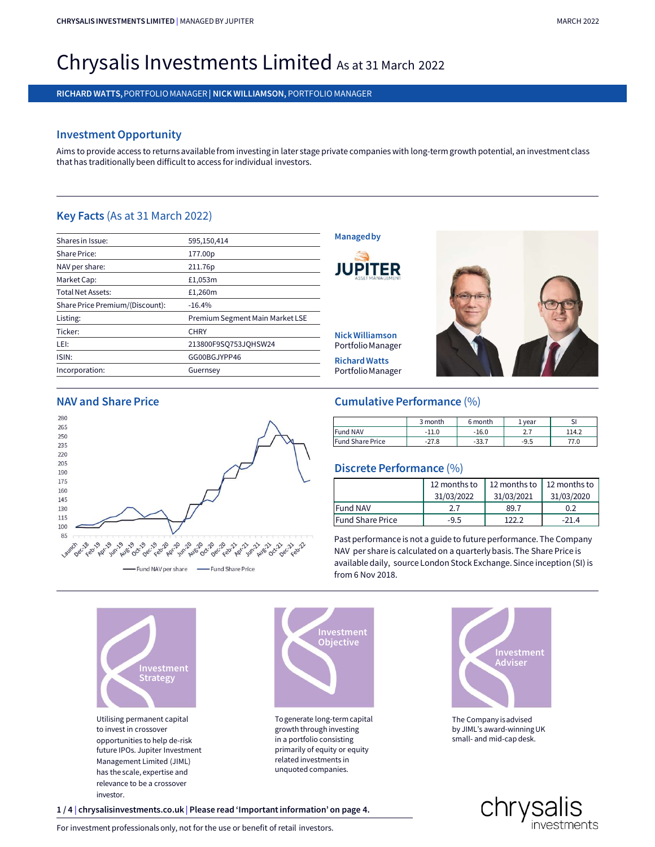# CHRYSALIS INVESTMENTS LIMITED | MANAGED BY JUPITER<br>
Christian International Christian Control of the control of the control of the control of the control of the control of the control of the control of the control of the c chrysalis investments limited | managed by jupiter<br>Chrysalis Investments Limited As at 31 March 2022<br>richard watts, portfolio manager| nick williamson, portfolio manager CHRYSALIS INVESTMENTS LIMITED | MANAGED BY JUPITER<br>Chrysalis Investments limited | Manager | Nick Williamson, portfolio manager<br>Richard watts, portfolio manager | Nick Williamson, portfolio manager<br>Richard watts, porterint Chrysalis Investments Limited as at 31 March 2022<br>RICHARD WATTS, PORTFOLIO MANAGER| NICK WILLIAMSON, PORTFOLIO MANAGER<br>Investment Opportunity<br>Aims to provide access to returns available from investing in later stage privat

# Investment Opportunity

Chrysalis Investment Comparison Christian Christian Christian Christian Christian Christian Christian Christian Christian Christian Christian Christian Christian Christian Christian Christian Christian Christian Christian

|                                 | RICHARD WATTS, PORTFOLIO MANAGER   NICK WILLIAMSON, PORTFOLIO MANAGER                                                                                                                                             |                                   |         |         |               |
|---------------------------------|-------------------------------------------------------------------------------------------------------------------------------------------------------------------------------------------------------------------|-----------------------------------|---------|---------|---------------|
|                                 |                                                                                                                                                                                                                   |                                   |         |         |               |
| <b>Investment Opportunity</b>   |                                                                                                                                                                                                                   |                                   |         |         |               |
|                                 | Aims to provide access to returns available from investing in later stage private companies with long-term growth potential, an inve<br>that has traditionally been difficult to access for individual investors. |                                   |         |         |               |
| Key Facts (As at 31 March 2022) |                                                                                                                                                                                                                   |                                   |         |         |               |
| Shares in Issue:                | 595,150,414                                                                                                                                                                                                       | <b>Managed by</b>                 |         |         |               |
| Share Price:                    | 177.00p                                                                                                                                                                                                           |                                   |         |         |               |
| NAV per share:                  | 211.76p                                                                                                                                                                                                           |                                   |         |         |               |
| Market Cap:                     | £1,053m                                                                                                                                                                                                           |                                   |         |         |               |
| <b>Total Net Assets:</b>        | £1,260m                                                                                                                                                                                                           |                                   |         |         |               |
| Share Price Premium/(Discount): | $-16.4%$                                                                                                                                                                                                          |                                   |         |         |               |
| Listing:                        | Premium Segment Main Market LSE                                                                                                                                                                                   |                                   |         |         |               |
| Ticker:                         | <b>CHRY</b>                                                                                                                                                                                                       | <b>Nick Williamson</b>            |         |         |               |
| LEI:                            | 213800F9SQ753JQHSW24                                                                                                                                                                                              | Portfolio Manager                 |         |         |               |
| ISIN:                           | GG00BGJYPP46                                                                                                                                                                                                      | <b>Richard Watts</b>              |         |         |               |
| Incorporation:                  | Guernsey                                                                                                                                                                                                          | Portfolio Manager                 |         |         |               |
| <b>NAV and Share Price</b>      |                                                                                                                                                                                                                   | <b>Cumulative Performance (%)</b> |         |         |               |
| 280                             |                                                                                                                                                                                                                   |                                   | 3 month | 6 month |               |
| 265                             |                                                                                                                                                                                                                   | <b>Fund NAV</b>                   | $-11.0$ | $-16.0$ | 1 year<br>2.7 |
| 250                             |                                                                                                                                                                                                                   | <b>Eund Share Drice</b>           | 27 Q    | 227     | QE            |







Utilising permanent capital to invest in crossover opportunities to help de-risk future IPOs. Jupiter Investment Management Limited (JIML) relevance to be a crossover investor. Utilising permanent capital<br>
to invest in crossover<br>
opportunities to help de-risk<br>
future IPOs. Jupiter Investment<br>
future IPOs. Jupiter Investment<br>
Management Limited (JIML)<br>
has the scale, expertise and<br>
relevance to b For investment professionals only, not for the use or benefit of retail investors.<br>
For investment and  $\frac{1}{4}$  chromating the use or benefit of retail in a perform of the use or benefit of retail investors.<br>
The construc



To generate long-term capital in a portfolio consisting primarily of equity or equity related investments in



|                         | 3 month | 6 month | . vear | ы     |
|-------------------------|---------|---------|--------|-------|
| <b>Fund NAV</b>         | $-110$  | $-16.0$ |        | 114.2 |
| <b>Fund Share Price</b> | 27.8    | -33.7   | -9.5   | 77.0  |

# Discrete Performance (%)

| <b>Fund NAV</b><br><b>Fund Share Price</b>                                                                                                                                                                                               |         |              |         | 6 month<br>1 year |              | <b>SI</b>    |       |
|------------------------------------------------------------------------------------------------------------------------------------------------------------------------------------------------------------------------------------------|---------|--------------|---------|-------------------|--------------|--------------|-------|
|                                                                                                                                                                                                                                          |         | $-11.0$      | $-16.0$ |                   | 2.7          |              | 114.2 |
|                                                                                                                                                                                                                                          | $-27.8$ |              | $-33.7$ |                   | $-9.5$       |              | 77.0  |
| Discrete Performance (%)                                                                                                                                                                                                                 |         | 12 months to |         |                   | 12 months to | 12 months to |       |
|                                                                                                                                                                                                                                          |         | 31/03/2022   |         | 31/03/2021        |              | 31/03/2020   |       |
| <b>Fund NAV</b><br>2.7                                                                                                                                                                                                                   |         |              | 89.7    |                   | 0.2          |              |       |
| <b>Fund Share Price</b><br>$-9.5$                                                                                                                                                                                                        |         |              | 122.2   |                   | $-21.4$      |              |       |
| Past performance is not a guide to future performance. The Company<br>NAV per share is calculated on a quarterly basis. The Share Price is<br>available daily, source London Stock Exchange. Since inception (SI) is<br>from 6 Nov 2018. |         |              |         |                   |              |              |       |



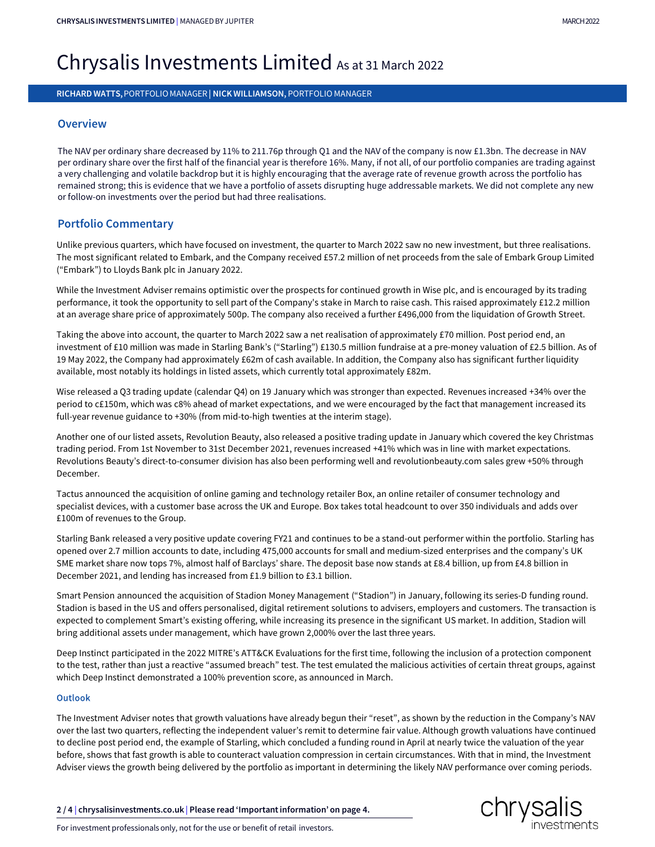# CHRYSALIS INVESTMENTS LIMITED | MANAGED BY JUPITER<br>
Christian International Christian Control of the control of the control of the control of the control of the control of the control of the control of the control of the c chrysalis investments limited | managed by jupiter<br>Chrysalis Investments Limited As at 31 March 2022<br>richard watts, portfolio manager| nick williamson, portfolio manager CHRYSALIS INVESTMENTS LIMITED | MANAGED BY JUPITER<br>Chrysalis Investments Limited As at 31 March 2022<br>RICHARD WATTS, PORTFOLIO MANAGER | NICK WILLIAMSON, PORTFOLIO MANAGER

# **Overview**

The NAV per ordinary share decreased by 11% to 211.76p through Q1 and the NAV of the company is now £1.3bn. The decrease in NAV per ordinary share over the first half of the financial year is therefore 16%. Many, if not all, of our portfolio companies are trading against a very challenging and volatile backdrop but it is highly encouraging that the average rate of revenue growth across the portfolio has **Chrysalis Investments Limited** As at 31 March 2022<br>RICHARD WATTS, PORTFOLIO MANAGER| NICK WILLIAMSON, PORTFOLIO MANAGER<br>The NAV per ordinary share decreased by 11% to 211.76p through Q1 and the NAV of the company is now £ or follow-on investments over the period but had three realisations. per ordinary share over the first half of the financial year is therefore 16%. Many, if not all, of our portfolio companies are trading against<br>a very challenging and volatile backdrop but its highly encouraging that the a

# Portfolio Commentary

Unlike previous quarters, which have focused on investment, the quarter to March 2022 saw no new investment, but three realisations. The most significant related to Embark, and the Company received £57.2 million of net proceeds from the sale of Embark Group Limited ("Embark") to Lloyds Bank plc in January 2022. a very challenging and volatile backdrop but it is highly encouraging that the average rate of revenue growth across the portfolio has<br>remained strong; this is evidence that we have a portfolio of assets disrupting huge ad

at an average share price of approximately 500p. The company also received a further £496,000 from the liquidation of Growth Street.

Portfolio Commentary<br>Thike previous quarters, which have focused on investment, the quarter to March 2022 saw no new investment, but three realisations.<br>The most significant related to Embark, and the Company received £57. investment of £10 million was made in Starling Bank's ("Starling") £130.5 million fundraise at a pre-money valuation of £2.5 billion. As of 19 May 2022, the Company had approximately £62m of cash available. In addition, the Company also has significant further liquidity available, most notably its holdings in listed assets, which currently total approximately £82m. isting the above into account, the quarter to March 2022 saw a net realisation of approximately £70 million. Post period end, an investment of £10 million was made in Starling Bank's ("Starling") £130.5 million fundraise a

Wise released a Q3 trading update (calendar Q4) on 19 January which was stronger than expected. Revenues increased +34% over the period to c£150m, which was c8% ahead of market expectations, and we were encouraged by the fact that management increased its full-year revenue guidance to +30% (from mid-to-high twenties at the interim stage).

trading period. From 1st November to 31st December 2021, revenues increased +41% which was in line with market expectations. Revolutions Beauty's direct-to-consumer division has also been performing well and revolutionbeauty.com sales grew +50% through December. Wise released a Q3 trading update (calendar Q4) on 19 January which was stronger than expected. Revenues increased +34% over the period to c£150m, which was c8% ahead of market expectations, and we were encouraged by the f

Tactus announced the acquisition of online gaming and technology retailer Box, an online retailer of consumer technology and £100m of revenues to the Group.

Starling Bank released a very positive update covering FY21 and continues to be a stand-out performer within the portfolio. Starling has opened over 2.7 million accounts to date, including 475,000 accounts for small and medium-sized enterprises and the company's UK SME market share now tops 7%, almost half of Barclays' share. The deposit base now stands at £8.4 billion, up from £4.8 billion in December 2021, and lending has increased from £1.9 billion to £3.1 billion.

Smart Pension announced the acquisition of Stadion Money Management ("Stadion") in January, following its series-D funding round. Stadion is based in the US and offers personalised, digital retirement solutions to advisers, employers and customers. The transaction is expected to complement Smart's existing offering, while increasing its presence in the significant US market. In addition, Stadion will bring additional assets under management, which have grown 2,000% over the last three years. Starling Bank released a very positive update covering FY21 and continues to be a stand-out performer within the portfolio. Starling has<br>opened over 2.7 million accounts to date, including 475,000 accounts for small and me Smart Pension announced the acquisition of Stadion Money Management ("Stadion") in January, following its series-D funding round.<br>Stadion is based in the US and offers personalised, digital retirement solutions to advisers

to the test, rather than just a reactive "assumed breach" test. The test emulated the malicious activities of certain threat groups, against which Deep Instinct demonstrated a 100% prevention score, as announced in March.

## **Outlook**

over the last two quarters, reflecting the independent valuer's remit to determine fair value. Although growth valuations have continued to decline post period end, the example of Starling, which concluded a funding round in April at nearly twice the valuation of the year before, shows that fast growth is able to counteract valuation compression in certain circumstances. With that in mind, the Investment Adviser views the growth being delivered by the portfolio as important in determining the likely NAV performance over coming periods. Outlook<br>
The Investment Adviser notes that growth valuations have already begun their "reset", as shown by the reduction in the<br>
over the last two quarters, reflecting the independent valuer's remit to determine fair valu Dutiook<br>The Investment Adviser notes that growth valuations have already begun their "reset", as shown by the r<br>over the last two quarters, reflecting the independent valuer's remit to determine fair value. Although gr<br>to

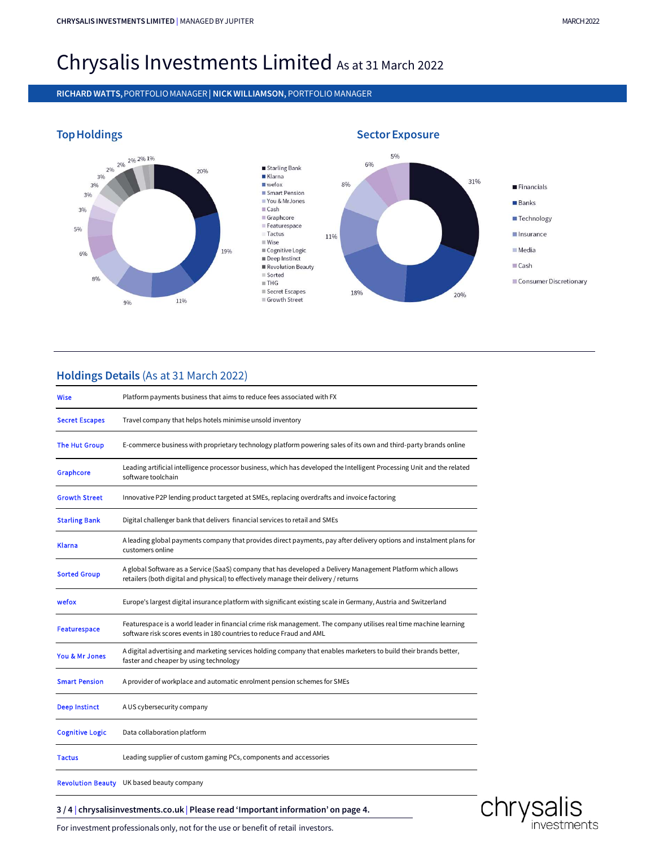# CHRYSALIS INVESTMENTS LIMITED | MANAGED BY JUPITER<br>
Christian International Christian Control of the control of the control of the control of the control of the control of the control of the control of the control of the c chrysalis investments limited | managed by jupiter<br>Chrysalis Investments Limited As at 31 March 2022<br>richard watts, portfolio manager| nick williamson, portfolio manager CHRYSALIS INVESTMENTS LIMITED | MANAGED BY JUPITER<br>Chrysalis Investments Limited As at 31 March 2022<br>RICHARD WATTS, PORTFOLIO MANAGER | NICK WILLIAMSON, PORTFOLIO MANAGER<br>Ton Usediance



# Holdings Details (As at 31 March 2022)

| <b>Wise</b>            | Platform payments business that aims to reduce fees associated with FX                                                                                                                               |  |  |  |  |  |
|------------------------|------------------------------------------------------------------------------------------------------------------------------------------------------------------------------------------------------|--|--|--|--|--|
| <b>Secret Escapes</b>  | Travel company that helps hotels minimise unsold inventory                                                                                                                                           |  |  |  |  |  |
| The Hut Group          | E-commerce business with proprietary technology platform powering sales of its own and third-party brands online                                                                                     |  |  |  |  |  |
| Graphcore              | Leading artificial intelligence processor business, which has developed the Intelligent Processing Unit and the related<br>software toolchain                                                        |  |  |  |  |  |
| <b>Growth Street</b>   | Innovative P2P lending product targeted at SMEs, replacing overdrafts and invoice factoring                                                                                                          |  |  |  |  |  |
| <b>Starling Bank</b>   | Digital challenger bank that delivers financial services to retail and SMEs                                                                                                                          |  |  |  |  |  |
| <b>Klarna</b>          | A leading global payments company that provides direct payments, pay after delivery options and instalment plans for<br>customers online                                                             |  |  |  |  |  |
| <b>Sorted Group</b>    | A global Software as a Service (SaaS) company that has developed a Delivery Management Platform which allows<br>retailers (both digital and physical) to effectively manage their delivery / returns |  |  |  |  |  |
| wefox                  | Europe's largest digital insurance platform with significant existing scale in Germany, Austria and Switzerland                                                                                      |  |  |  |  |  |
| <b>Featurespace</b>    | Featurespace is a world leader in financial crime risk management. The company utilises real time machine learning<br>software risk scores events in 180 countries to reduce Fraud and AML           |  |  |  |  |  |
| You & Mr Jones         | A digital advertising and marketing services holding company that enables marketers to build their brands better,<br>faster and cheaper by using technology                                          |  |  |  |  |  |
| <b>Smart Pension</b>   | A provider of workplace and automatic enrolment pension schemes for SMEs                                                                                                                             |  |  |  |  |  |
| <b>Deep Instinct</b>   | A US cybersecurity company                                                                                                                                                                           |  |  |  |  |  |
| <b>Cognitive Logic</b> | Data collaboration platform                                                                                                                                                                          |  |  |  |  |  |
| <b>Tactus</b>          | Leading supplier of custom gaming PCs, components and accessories                                                                                                                                    |  |  |  |  |  |
|                        | Revolution Beauty UK based beauty company                                                                                                                                                            |  |  |  |  |  |
|                        | 3/4 chrysalisinvestments.co.uk Please read 'Important information' on page 4.                                                                                                                        |  |  |  |  |  |
|                        | For investment professionals only, not for the use or benefit of retail investors.                                                                                                                   |  |  |  |  |  |
|                        |                                                                                                                                                                                                      |  |  |  |  |  |